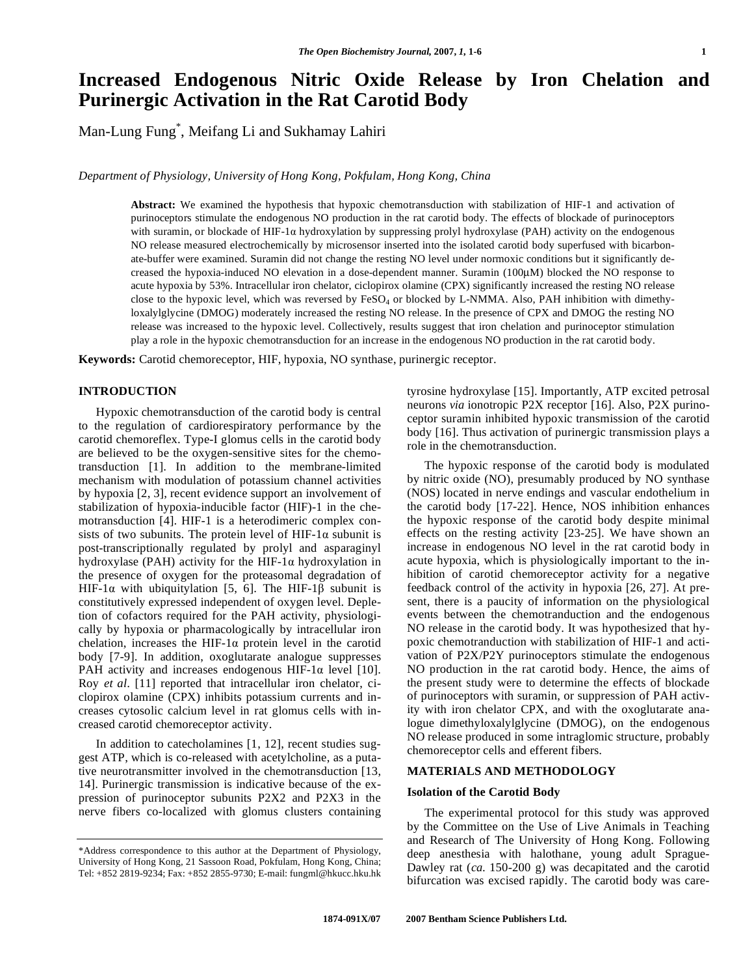# **Increased Endogenous Nitric Oxide Release by Iron Chelation and Purinergic Activation in the Rat Carotid Body**

Man-Lung Fung\* , Meifang Li and Sukhamay Lahiri

*Department of Physiology, University of Hong Kong, Pokfulam, Hong Kong, China* 

**Abstract:** We examined the hypothesis that hypoxic chemotransduction with stabilization of HIF-1 and activation of purinoceptors stimulate the endogenous NO production in the rat carotid body. The effects of blockade of purinoceptors with suramin, or blockade of HIF-1a hydroxylation by suppressing prolyl hydroxylase (PAH) activity on the endogenous NO release measured electrochemically by microsensor inserted into the isolated carotid body superfused with bicarbonate-buffer were examined. Suramin did not change the resting NO level under normoxic conditions but it significantly decreased the hypoxia-induced NO elevation in a dose-dependent manner. Suramin (100μM) blocked the NO response to acute hypoxia by 53%. Intracellular iron chelator, ciclopirox olamine (CPX) significantly increased the resting NO release close to the hypoxic level, which was reversed by  $FesO<sub>4</sub>$  or blocked by L-NMMA. Also, PAH inhibition with dimethyloxalylglycine (DMOG) moderately increased the resting NO release. In the presence of CPX and DMOG the resting NO release was increased to the hypoxic level. Collectively, results suggest that iron chelation and purinoceptor stimulation play a role in the hypoxic chemotransduction for an increase in the endogenous NO production in the rat carotid body.

**Keywords:** Carotid chemoreceptor, HIF, hypoxia, NO synthase, purinergic receptor.

## **INTRODUCTION**

 Hypoxic chemotransduction of the carotid body is central to the regulation of cardiorespiratory performance by the carotid chemoreflex. Type-I glomus cells in the carotid body are believed to be the oxygen-sensitive sites for the chemotransduction [1]. In addition to the membrane-limited mechanism with modulation of potassium channel activities by hypoxia [2, 3], recent evidence support an involvement of stabilization of hypoxia-inducible factor (HIF)-1 in the chemotransduction [4]. HIF-1 is a heterodimeric complex consists of two subunits. The protein level of HIF-1 $\alpha$  subunit is post-transcriptionally regulated by prolyl and asparaginyl hydroxylase (PAH) activity for the HIF-1 $\alpha$  hydroxylation in the presence of oxygen for the proteasomal degradation of HIF-1 $\alpha$  with ubiquitylation [5, 6]. The HIF-1 $\beta$  subunit is constitutively expressed independent of oxygen level. Depletion of cofactors required for the PAH activity, physiologically by hypoxia or pharmacologically by intracellular iron chelation, increases the HIF-1 $\alpha$  protein level in the carotid body [7-9]. In addition, oxoglutarate analogue suppresses PAH activity and increases endogenous HIF-1 $\alpha$  level [10]. Roy *et al*. [11] reported that intracellular iron chelator, ciclopirox olamine (CPX) inhibits potassium currents and increases cytosolic calcium level in rat glomus cells with increased carotid chemoreceptor activity.

 In addition to catecholamines [1, 12], recent studies suggest ATP, which is co-released with acetylcholine, as a putative neurotransmitter involved in the chemotransduction [13, 14]. Purinergic transmission is indicative because of the expression of purinoceptor subunits P2X2 and P2X3 in the nerve fibers co-localized with glomus clusters containing tyrosine hydroxylase [15]. Importantly, ATP excited petrosal neurons *via* ionotropic P2X receptor [16]. Also, P2X purinoceptor suramin inhibited hypoxic transmission of the carotid body [16]. Thus activation of purinergic transmission plays a role in the chemotransduction.

 The hypoxic response of the carotid body is modulated by nitric oxide (NO), presumably produced by NO synthase (NOS) located in nerve endings and vascular endothelium in the carotid body [17-22]. Hence, NOS inhibition enhances the hypoxic response of the carotid body despite minimal effects on the resting activity [23-25]. We have shown an increase in endogenous NO level in the rat carotid body in acute hypoxia, which is physiologically important to the inhibition of carotid chemoreceptor activity for a negative feedback control of the activity in hypoxia [26, 27]. At present, there is a paucity of information on the physiological events between the chemotranduction and the endogenous NO release in the carotid body. It was hypothesized that hypoxic chemotranduction with stabilization of HIF-1 and activation of P2X/P2Y purinoceptors stimulate the endogenous NO production in the rat carotid body. Hence, the aims of the present study were to determine the effects of blockade of purinoceptors with suramin, or suppression of PAH activity with iron chelator CPX, and with the oxoglutarate analogue dimethyloxalylglycine (DMOG), on the endogenous NO release produced in some intraglomic structure, probably chemoreceptor cells and efferent fibers.

## **MATERIALS AND METHODOLOGY**

## **Isolation of the Carotid Body**

 The experimental protocol for this study was approved by the Committee on the Use of Live Animals in Teaching and Research of The University of Hong Kong. Following deep anesthesia with halothane, young adult Sprague-Dawley rat (*ca.* 150-200 g) was decapitated and the carotid bifurcation was excised rapidly. The carotid body was care-

<sup>\*</sup>Address correspondence to this author at the Department of Physiology, University of Hong Kong, 21 Sassoon Road, Pokfulam, Hong Kong, China; Tel: +852 2819-9234; Fax: +852 2855-9730; E-mail: fungml@hkucc.hku.hk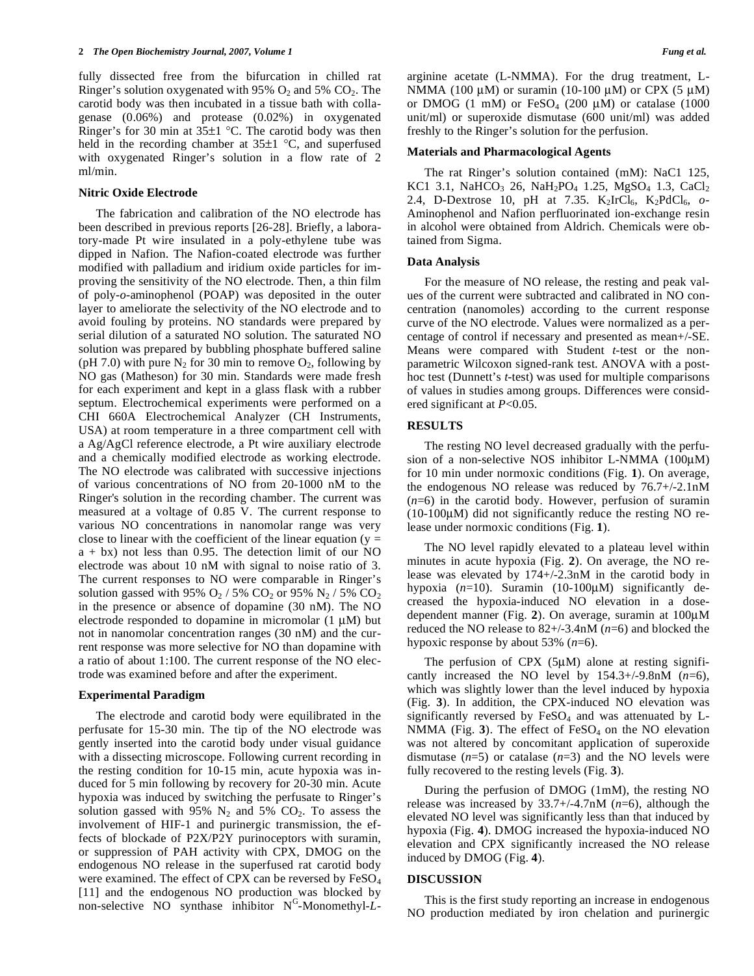fully dissected free from the bifurcation in chilled rat Ringer's solution oxygenated with 95%  $O_2$  and 5%  $CO_2$ . The carotid body was then incubated in a tissue bath with collagenase (0.06%) and protease (0.02%) in oxygenated Ringer's for 30 min at 35±1 °C. The carotid body was then held in the recording chamber at  $35\pm1$  °C, and superfused with oxygenated Ringer's solution in a flow rate of 2 ml/min.

## **Nitric Oxide Electrode**

 The fabrication and calibration of the NO electrode has been described in previous reports [26-28]. Briefly, a laboratory-made Pt wire insulated in a poly-ethylene tube was dipped in Nafion. The Nafion-coated electrode was further modified with palladium and iridium oxide particles for improving the sensitivity of the NO electrode. Then, a thin film of poly-*o*-aminophenol (POAP) was deposited in the outer layer to ameliorate the selectivity of the NO electrode and to avoid fouling by proteins. NO standards were prepared by serial dilution of a saturated NO solution. The saturated NO solution was prepared by bubbling phosphate buffered saline (pH 7.0) with pure  $N_2$  for 30 min to remove  $O_2$ , following by NO gas (Matheson) for 30 min. Standards were made fresh for each experiment and kept in a glass flask with a rubber septum. Electrochemical experiments were performed on a CHI 660A Electrochemical Analyzer (CH Instruments, USA) at room temperature in a three compartment cell with a Ag/AgCl reference electrode, a Pt wire auxiliary electrode and a chemically modified electrode as working electrode. The NO electrode was calibrated with successive injections of various concentrations of NO from 20-1000 nM to the Ringer's solution in the recording chamber. The current was measured at a voltage of 0.85 V. The current response to various NO concentrations in nanomolar range was very close to linear with the coefficient of the linear equation ( $y =$  $a + bx$ ) not less than 0.95. The detection limit of our NO electrode was about 10 nM with signal to noise ratio of 3. The current responses to NO were comparable in Ringer's solution gassed with 95%  $O_2$  / 5%  $CO_2$  or 95%  $N_2$  / 5%  $CO_2$ in the presence or absence of dopamine (30 nM). The NO electrode responded to dopamine in micromolar (1 μM) but not in nanomolar concentration ranges (30 nM) and the current response was more selective for NO than dopamine with a ratio of about 1:100. The current response of the NO electrode was examined before and after the experiment.

## **Experimental Paradigm**

 The electrode and carotid body were equilibrated in the perfusate for 15-30 min. The tip of the NO electrode was gently inserted into the carotid body under visual guidance with a dissecting microscope. Following current recording in the resting condition for 10-15 min, acute hypoxia was induced for 5 min following by recovery for 20-30 min. Acute hypoxia was induced by switching the perfusate to Ringer's solution gassed with 95%  $N_2$  and 5%  $CO_2$ . To assess the involvement of HIF-1 and purinergic transmission, the effects of blockade of P2X/P2Y purinoceptors with suramin, or suppression of PAH activity with CPX, DMOG on the endogenous NO release in the superfused rat carotid body were examined. The effect of CPX can be reversed by  $FeSO<sub>4</sub>$ [11] and the endogenous NO production was blocked by non-selective NO synthase inhibitor N<sup>G</sup>-Monomethyl-L- arginine acetate (L-NMMA). For the drug treatment, L-NMMA (100 μM) or suramin (10-100 μM) or CPX (5 μM) or DMOG (1 mM) or  $FeSO<sub>4</sub>$  (200 µM) or catalase (1000 unit/ml) or superoxide dismutase (600 unit/ml) was added freshly to the Ringer's solution for the perfusion.

#### **Materials and Pharmacological Agents**

 The rat Ringer's solution contained (mM): NaC1 125, KC1 3.1, NaHCO<sub>3</sub> 26, NaH<sub>2</sub>PO<sub>4</sub> 1.25, MgSO<sub>4</sub> 1.3, CaCl<sub>2</sub> 2.4, D-Dextrose 10, pH at 7.35. K<sub>2</sub>IrCl<sub>6</sub>, K<sub>2</sub>PdCl<sub>6</sub>, o-Aminophenol and Nafion perfluorinated ion-exchange resin in alcohol were obtained from Aldrich. Chemicals were obtained from Sigma.

#### **Data Analysis**

 For the measure of NO release, the resting and peak values of the current were subtracted and calibrated in NO concentration (nanomoles) according to the current response curve of the NO electrode. Values were normalized as a percentage of control if necessary and presented as mean+/-SE. Means were compared with Student *t*-test or the nonparametric Wilcoxon signed-rank test. ANOVA with a posthoc test (Dunnett's *t*-test) was used for multiple comparisons of values in studies among groups. Differences were considered significant at *P*<0.05.

## **RESULTS**

 The resting NO level decreased gradually with the perfusion of a non-selective NOS inhibitor L-NMMA (100μM) for 10 min under normoxic conditions (Fig. **1**). On average, the endogenous NO release was reduced by 76.7+/-2.1nM  $(n=6)$  in the carotid body. However, perfusion of suramin (10-100μM) did not significantly reduce the resting NO release under normoxic conditions (Fig. **1**).

 The NO level rapidly elevated to a plateau level within minutes in acute hypoxia (Fig. **2**). On average, the NO release was elevated by 174+/-2.3nM in the carotid body in hypoxia (*n*=10). Suramin (10-100μM) significantly decreased the hypoxia-induced NO elevation in a dosedependent manner (Fig. **2**). On average, suramin at 100μM reduced the NO release to 82+/-3.4nM (*n*=6) and blocked the hypoxic response by about 53% (*n*=6).

The perfusion of  $CPX$  (5 $\mu$ M) alone at resting significantly increased the NO level by  $154.3+/-9.8$ nM ( $n=6$ ), which was slightly lower than the level induced by hypoxia (Fig. **3**). In addition, the CPX-induced NO elevation was significantly reversed by  $FeSO<sub>4</sub>$  and was attenuated by L-NMMA (Fig. 3). The effect of FeSO<sub>4</sub> on the NO elevation was not altered by concomitant application of superoxide dismutase  $(n=5)$  or catalase  $(n=3)$  and the NO levels were fully recovered to the resting levels (Fig. **3**).

 During the perfusion of DMOG (1mM), the resting NO release was increased by 33.7+/-4.7nM (*n*=6), although the elevated NO level was significantly less than that induced by hypoxia (Fig. **4**). DMOG increased the hypoxia-induced NO elevation and CPX significantly increased the NO release induced by DMOG (Fig. **4**).

#### **DISCUSSION**

 This is the first study reporting an increase in endogenous NO production mediated by iron chelation and purinergic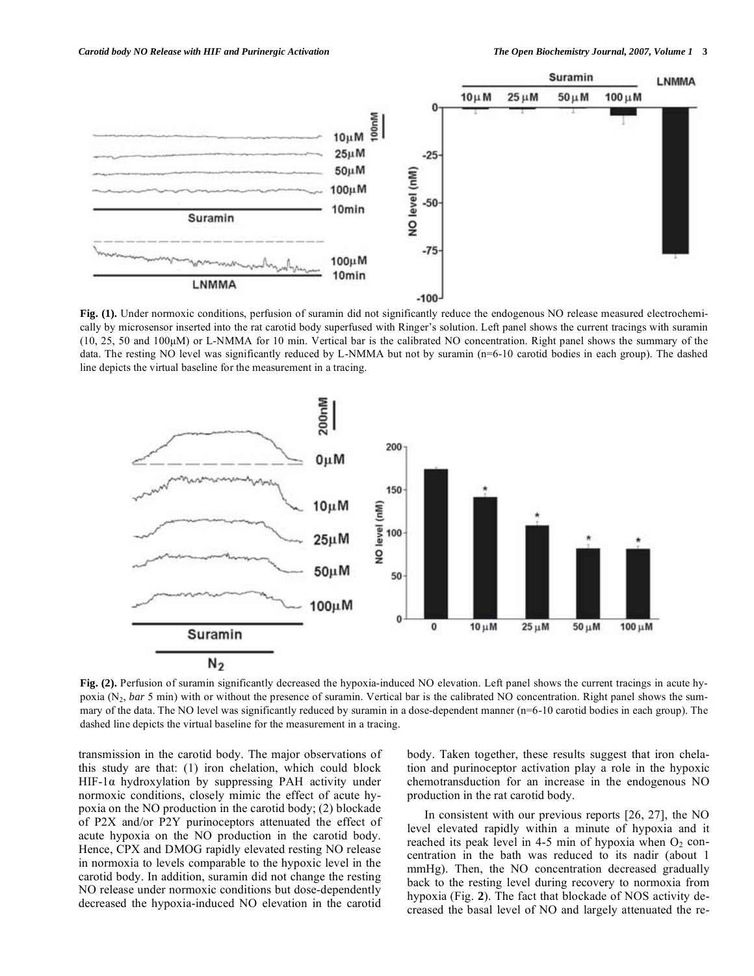

**Fig. (1).** Under normoxic conditions, perfusion of suramin did not significantly reduce the endogenous NO release measured electrochemically by microsensor inserted into the rat carotid body superfused with Ringer's solution. Left panel shows the current tracings with suramin (10, 25, 50 and 100μM) or L-NMMA for 10 min. Vertical bar is the calibrated NO concentration. Right panel shows the summary of the data. The resting NO level was significantly reduced by L-NMMA but not by suramin (n=6-10 carotid bodies in each group). The dashed line depicts the virtual baseline for the measurement in a tracing.



**Fig. (2).** Perfusion of suramin significantly decreased the hypoxia-induced NO elevation. Left panel shows the current tracings in acute hypoxia (N2, *bar* 5 min) with or without the presence of suramin. Vertical bar is the calibrated NO concentration. Right panel shows the summary of the data. The NO level was significantly reduced by suramin in a dose-dependent manner (n=6-10 carotid bodies in each group). The dashed line depicts the virtual baseline for the measurement in a tracing.

transmission in the carotid body. The major observations of this study are that: (1) iron chelation, which could block HIF-1 $\alpha$  hydroxylation by suppressing PAH activity under normoxic conditions, closely mimic the effect of acute hypoxia on the NO production in the carotid body; (2) blockade of P2X and/or P2Y purinoceptors attenuated the effect of acute hypoxia on the NO production in the carotid body. Hence, CPX and DMOG rapidly elevated resting NO release in normoxia to levels comparable to the hypoxic level in the carotid body. In addition, suramin did not change the resting NO release under normoxic conditions but dose-dependently decreased the hypoxia-induced NO elevation in the carotid

body. Taken together, these results suggest that iron chelation and purinoceptor activation play a role in the hypoxic chemotransduction for an increase in the endogenous NO production in the rat carotid body.

 In consistent with our previous reports [26, 27], the NO level elevated rapidly within a minute of hypoxia and it reached its peak level in 4-5 min of hypoxia when  $O_2$  concentration in the bath was reduced to its nadir (about 1 mmHg). Then, the NO concentration decreased gradually back to the resting level during recovery to normoxia from hypoxia (Fig. **2**). The fact that blockade of NOS activity decreased the basal level of NO and largely attenuated the re-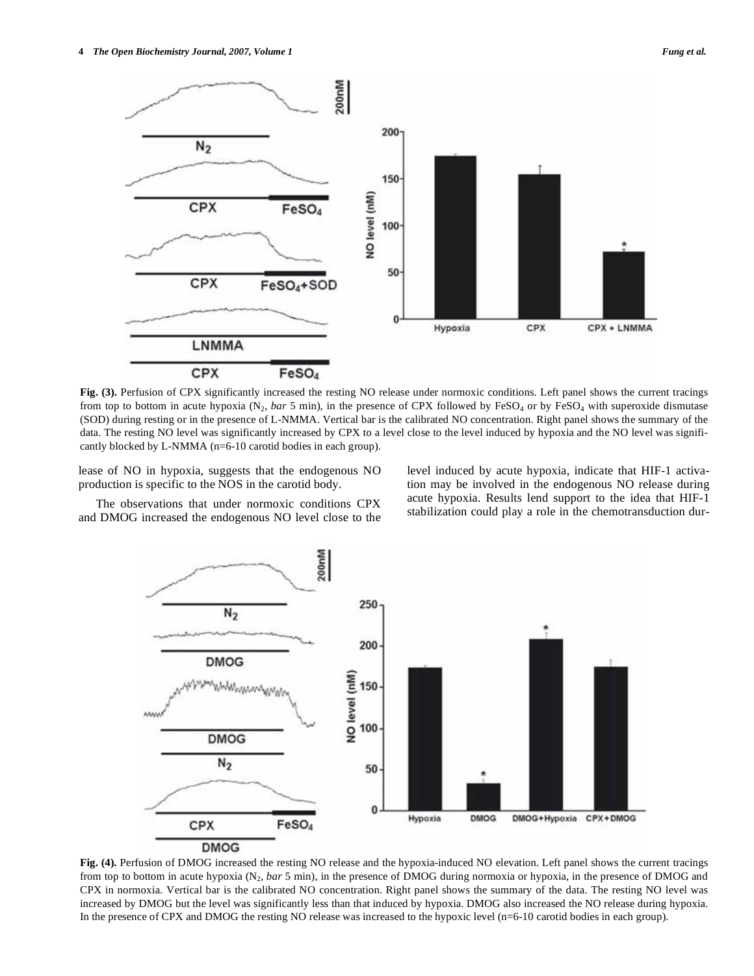

**Fig. (3).** Perfusion of CPX significantly increased the resting NO release under normoxic conditions. Left panel shows the current tracings from top to bottom in acute hypoxia (N<sub>2</sub>, *bar* 5 min), in the presence of CPX followed by FeSO<sub>4</sub> or by FeSO<sub>4</sub> with superoxide dismutase (SOD) during resting or in the presence of L-NMMA. Vertical bar is the calibrated NO concentration. Right panel shows the summary of the data. The resting NO level was significantly increased by CPX to a level close to the level induced by hypoxia and the NO level was significantly blocked by L-NMMA (n=6-10 carotid bodies in each group).

lease of NO in hypoxia, suggests that the endogenous NO production is specific to the NOS in the carotid body.

level induced by acute hypoxia, indicate that HIF-1 activation may be involved in the endogenous NO release during acute hypoxia. Results lend support to the idea that HIF-1 stabilization could play a role in the chemotransduction dur-

 The observations that under normoxic conditions CPX and DMOG increased the endogenous NO level close to the



**Fig. (4).** Perfusion of DMOG increased the resting NO release and the hypoxia-induced NO elevation. Left panel shows the current tracings from top to bottom in acute hypoxia (N2, *bar* 5 min), in the presence of DMOG during normoxia or hypoxia, in the presence of DMOG and CPX in normoxia. Vertical bar is the calibrated NO concentration. Right panel shows the summary of the data. The resting NO level was increased by DMOG but the level was significantly less than that induced by hypoxia. DMOG also increased the NO release during hypoxia. In the presence of CPX and DMOG the resting NO release was increased to the hypoxic level (n=6-10 carotid bodies in each group).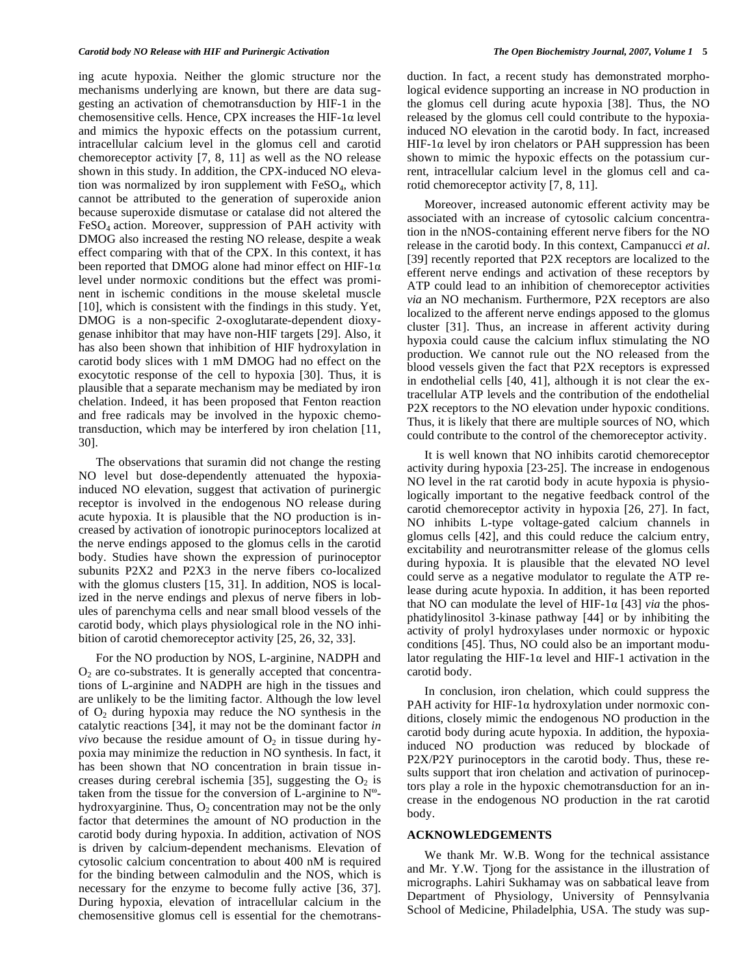ing acute hypoxia. Neither the glomic structure nor the mechanisms underlying are known, but there are data suggesting an activation of chemotransduction by HIF-1 in the chemosensitive cells. Hence, CPX increases the HIF-1 $\alpha$  level and mimics the hypoxic effects on the potassium current, intracellular calcium level in the glomus cell and carotid chemoreceptor activity [7, 8, 11] as well as the NO release shown in this study. In addition, the CPX-induced NO elevation was normalized by iron supplement with  $FeSO<sub>4</sub>$ , which cannot be attributed to the generation of superoxide anion because superoxide dismutase or catalase did not altered the FeSO4 action. Moreover, suppression of PAH activity with DMOG also increased the resting NO release, despite a weak effect comparing with that of the CPX. In this context, it has been reported that DMOG alone had minor effect on HIF-1 $\alpha$ level under normoxic conditions but the effect was prominent in ischemic conditions in the mouse skeletal muscle [10], which is consistent with the findings in this study. Yet, DMOG is a non-specific 2-oxoglutarate-dependent dioxygenase inhibitor that may have non-HIF targets [29]. Also, it has also been shown that inhibition of HIF hydroxylation in carotid body slices with 1 mM DMOG had no effect on the exocytotic response of the cell to hypoxia [30]. Thus, it is plausible that a separate mechanism may be mediated by iron chelation. Indeed, it has been proposed that Fenton reaction and free radicals may be involved in the hypoxic chemotransduction, which may be interfered by iron chelation [11, 30].

 The observations that suramin did not change the resting NO level but dose-dependently attenuated the hypoxiainduced NO elevation, suggest that activation of purinergic receptor is involved in the endogenous NO release during acute hypoxia. It is plausible that the NO production is increased by activation of ionotropic purinoceptors localized at the nerve endings apposed to the glomus cells in the carotid body. Studies have shown the expression of purinoceptor subunits P2X2 and P2X3 in the nerve fibers co-localized with the glomus clusters [15, 31]. In addition, NOS is localized in the nerve endings and plexus of nerve fibers in lobules of parenchyma cells and near small blood vessels of the carotid body, which plays physiological role in the NO inhibition of carotid chemoreceptor activity [25, 26, 32, 33].

 For the NO production by NOS, L-arginine, NADPH and  $O<sub>2</sub>$  are co-substrates. It is generally accepted that concentrations of L-arginine and NADPH are high in the tissues and are unlikely to be the limiting factor. Although the low level of  $O_2$  during hypoxia may reduce the NO synthesis in the catalytic reactions [34], it may not be the dominant factor *in vivo* because the residue amount of  $O_2$  in tissue during hypoxia may minimize the reduction in NO synthesis. In fact, it has been shown that NO concentration in brain tissue increases during cerebral ischemia [35], suggesting the  $O<sub>2</sub>$  is taken from the tissue for the conversion of L-arginine to  $N^{\omega}$ hydroxyarginine. Thus,  $O_2$  concentration may not be the only factor that determines the amount of NO production in the carotid body during hypoxia. In addition, activation of NOS is driven by calcium-dependent mechanisms. Elevation of cytosolic calcium concentration to about 400 nM is required for the binding between calmodulin and the NOS, which is necessary for the enzyme to become fully active [36, 37]. During hypoxia, elevation of intracellular calcium in the chemosensitive glomus cell is essential for the chemotransduction. In fact, a recent study has demonstrated morphological evidence supporting an increase in NO production in the glomus cell during acute hypoxia [38]. Thus, the NO released by the glomus cell could contribute to the hypoxiainduced NO elevation in the carotid body. In fact, increased HIF-1 $\alpha$  level by iron chelators or PAH suppression has been shown to mimic the hypoxic effects on the potassium current, intracellular calcium level in the glomus cell and carotid chemoreceptor activity [7, 8, 11].

 Moreover, increased autonomic efferent activity may be associated with an increase of cytosolic calcium concentration in the nNOS-containing efferent nerve fibers for the NO release in the carotid body. In this context, Campanucci *et al*. [39] recently reported that P2X receptors are localized to the efferent nerve endings and activation of these receptors by ATP could lead to an inhibition of chemoreceptor activities *via* an NO mechanism. Furthermore, P2X receptors are also localized to the afferent nerve endings apposed to the glomus cluster [31]. Thus, an increase in afferent activity during hypoxia could cause the calcium influx stimulating the NO production. We cannot rule out the NO released from the blood vessels given the fact that P2X receptors is expressed in endothelial cells [40, 41], although it is not clear the extracellular ATP levels and the contribution of the endothelial P2X receptors to the NO elevation under hypoxic conditions. Thus, it is likely that there are multiple sources of NO, which could contribute to the control of the chemoreceptor activity.

 It is well known that NO inhibits carotid chemoreceptor activity during hypoxia [23-25]. The increase in endogenous NO level in the rat carotid body in acute hypoxia is physiologically important to the negative feedback control of the carotid chemoreceptor activity in hypoxia [26, 27]. In fact, NO inhibits L-type voltage-gated calcium channels in glomus cells [42], and this could reduce the calcium entry, excitability and neurotransmitter release of the glomus cells during hypoxia. It is plausible that the elevated NO level could serve as a negative modulator to regulate the ATP release during acute hypoxia. In addition, it has been reported that NO can modulate the level of HIF-1 $\alpha$  [43] *via* the phosphatidylinositol 3-kinase pathway [44] or by inhibiting the activity of prolyl hydroxylases under normoxic or hypoxic conditions [45]. Thus, NO could also be an important modulator regulating the HIF-1 $\alpha$  level and HIF-1 activation in the carotid body.

 In conclusion, iron chelation, which could suppress the PAH activity for HIF-1 $\alpha$  hydroxylation under normoxic conditions, closely mimic the endogenous NO production in the carotid body during acute hypoxia. In addition, the hypoxiainduced NO production was reduced by blockade of P2X/P2Y purinoceptors in the carotid body. Thus, these results support that iron chelation and activation of purinoceptors play a role in the hypoxic chemotransduction for an increase in the endogenous NO production in the rat carotid body.

## **ACKNOWLEDGEMENTS**

 We thank Mr. W.B. Wong for the technical assistance and Mr. Y.W. Tjong for the assistance in the illustration of micrographs. Lahiri Sukhamay was on sabbatical leave from Department of Physiology, University of Pennsylvania School of Medicine, Philadelphia, USA. The study was sup